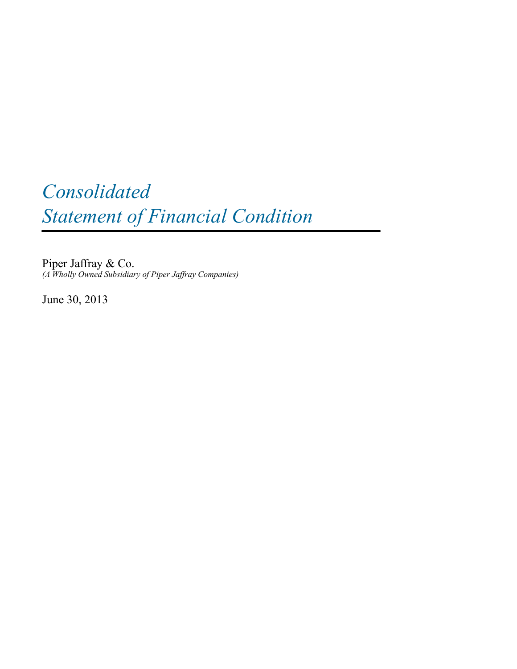# *Consolidated Statement of Financial Condition*

Piper Jaffray & Co. *(A Wholly Owned Subsidiary of Piper Jaffray Companies)*

June 30, 2013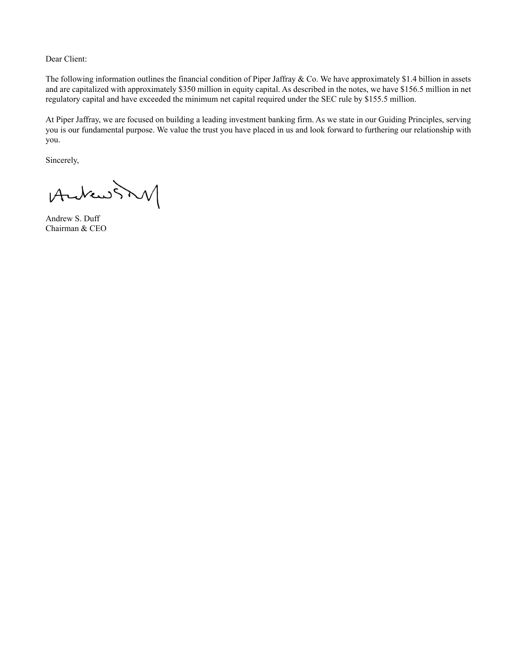Dear Client:

The following information outlines the financial condition of Piper Jaffray & Co. We have approximately \$1.4 billion in assets and are capitalized with approximately \$350 million in equity capital. As described in the notes, we have \$156.5 million in net regulatory capital and have exceeded the minimum net capital required under the SEC rule by \$155.5 million.

At Piper Jaffray, we are focused on building a leading investment banking firm. As we state in our Guiding Principles, serving you is our fundamental purpose. We value the trust you have placed in us and look forward to furthering our relationship with you.

Sincerely,

AndrewSM

Andrew S. Duff Chairman & CEO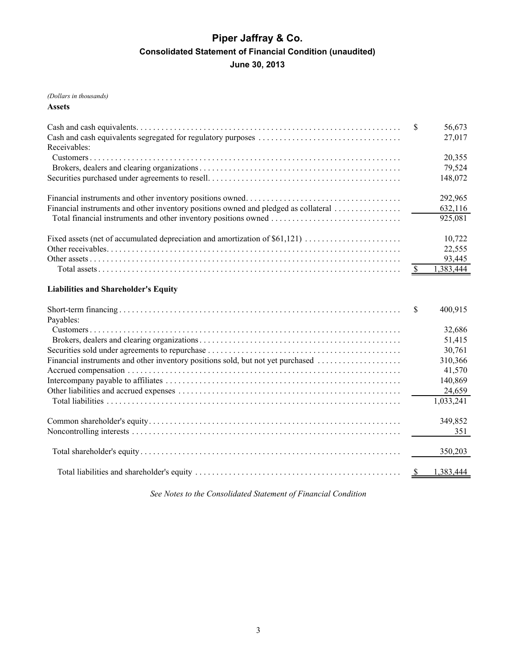# **Piper Jaffray & Co. Consolidated Statement of Financial Condition (unaudited) June 30, 2013**

#### *(Dollars in thousands)*

#### **Assets**

| Receivables:                                                                        | S                                 | 56,673<br>27,017 |
|-------------------------------------------------------------------------------------|-----------------------------------|------------------|
|                                                                                     |                                   | 20,355           |
|                                                                                     |                                   | 79,524           |
|                                                                                     |                                   | 148,072          |
|                                                                                     |                                   | 292,965          |
| Financial instruments and other inventory positions owned and pledged as collateral |                                   | 632,116          |
| Total financial instruments and other inventory positions owned                     |                                   | 925,081          |
| Fixed assets (net of accumulated depreciation and amortization of \$61,121)         |                                   | 10,722           |
|                                                                                     |                                   | 22,555           |
|                                                                                     |                                   | 93,445           |
|                                                                                     | $\frac{\mathcal{S}}{\mathcal{S}}$ | 1,383,444        |
| <b>Liabilities and Shareholder's Equity</b>                                         |                                   |                  |
|                                                                                     | \$                                | 400,915          |
| Payables:                                                                           |                                   |                  |
|                                                                                     |                                   | 32,686           |
|                                                                                     |                                   | 51,415           |
|                                                                                     |                                   | 30,761           |
| Financial instruments and other inventory positions sold, but not yet purchased     |                                   | 310,366          |
|                                                                                     |                                   | 41,570           |
|                                                                                     |                                   | 140,869          |
|                                                                                     |                                   | 24,659           |
|                                                                                     |                                   | 1,033,241        |
|                                                                                     |                                   | 349,852          |
|                                                                                     |                                   | 351              |
|                                                                                     |                                   | 350,203          |
|                                                                                     |                                   | \$ 1,383,444     |

*See Notes to the Consolidated Statement of Financial Condition*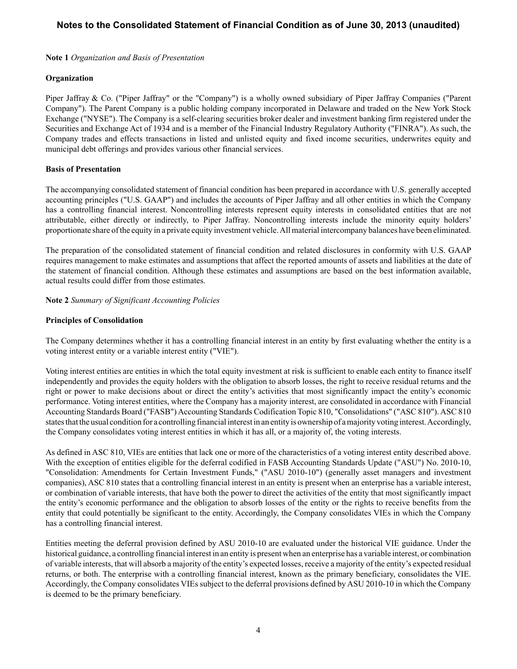**Note 1** *Organization and Basis of Presentation*

## **Organization**

Piper Jaffray & Co. ("Piper Jaffray" or the "Company") is a wholly owned subsidiary of Piper Jaffray Companies ("Parent Company"). The Parent Company is a public holding company incorporated in Delaware and traded on the New York Stock Exchange ("NYSE"). The Company is a self-clearing securities broker dealer and investment banking firm registered under the Securities and Exchange Act of 1934 and is a member of the Financial Industry Regulatory Authority ("FINRA"). As such, the Company trades and effects transactions in listed and unlisted equity and fixed income securities, underwrites equity and municipal debt offerings and provides various other financial services.

## **Basis of Presentation**

The accompanying consolidated statement of financial condition has been prepared in accordance with U.S. generally accepted accounting principles ("U.S. GAAP") and includes the accounts of Piper Jaffray and all other entities in which the Company has a controlling financial interest. Noncontrolling interests represent equity interests in consolidated entities that are not attributable, either directly or indirectly, to Piper Jaffray. Noncontrolling interests include the minority equity holders' proportionate share of the equity in a private equity investment vehicle. All material intercompany balances have been eliminated.

The preparation of the consolidated statement of financial condition and related disclosures in conformity with U.S. GAAP requires management to make estimates and assumptions that affect the reported amounts of assets and liabilities at the date of the statement of financial condition. Although these estimates and assumptions are based on the best information available, actual results could differ from those estimates.

## **Note 2** *Summary of Significant Accounting Policies*

## **Principles of Consolidation**

The Company determines whether it has a controlling financial interest in an entity by first evaluating whether the entity is a voting interest entity or a variable interest entity ("VIE").

Voting interest entities are entities in which the total equity investment at risk is sufficient to enable each entity to finance itself independently and provides the equity holders with the obligation to absorb losses, the right to receive residual returns and the right or power to make decisions about or direct the entity's activities that most significantly impact the entity's economic performance. Voting interest entities, where the Company has a majority interest, are consolidated in accordance with Financial Accounting Standards Board ("FASB") Accounting Standards Codification Topic 810, "Consolidations" ("ASC 810"). ASC 810 states that the usual condition for a controlling financial interest in an entity is ownership of a majority voting interest. Accordingly, the Company consolidates voting interest entities in which it has all, or a majority of, the voting interests.

As defined in ASC 810, VIEs are entities that lack one or more of the characteristics of a voting interest entity described above. With the exception of entities eligible for the deferral codified in FASB Accounting Standards Update ("ASU") No. 2010-10, "Consolidation: Amendments for Certain Investment Funds," ("ASU 2010-10") (generally asset managers and investment companies), ASC 810 states that a controlling financial interest in an entity is present when an enterprise has a variable interest, or combination of variable interests, that have both the power to direct the activities of the entity that most significantly impact the entity's economic performance and the obligation to absorb losses of the entity or the rights to receive benefits from the entity that could potentially be significant to the entity. Accordingly, the Company consolidates VIEs in which the Company has a controlling financial interest.

Entities meeting the deferral provision defined by ASU 2010-10 are evaluated under the historical VIE guidance. Under the historical guidance, a controlling financial interest in an entity is present when an enterprise has a variable interest, or combination of variable interests, that will absorb a majority of the entity's expected losses, receive a majority of the entity's expected residual returns, or both. The enterprise with a controlling financial interest, known as the primary beneficiary, consolidates the VIE. Accordingly, the Company consolidates VIEs subject to the deferral provisions defined by ASU 2010-10 in which the Company is deemed to be the primary beneficiary.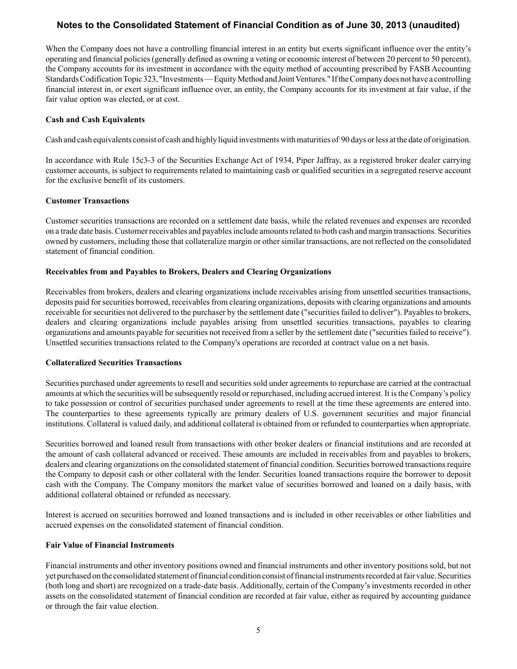When the Company does not have a controlling financial interest in an entity but exerts significant influence over the entity's operating and financial policies (generally defined as owning a voting or economic interest of between 20 percent to 50 percent), the Company accounts for its investment in accordance with the equity method of accounting prescribed by FASB Accounting Standards Codification Topic 323, "Investments — Equity Method and Joint Ventures." If the Company does not have a controlling financial interest in, or exert significant influence over, an entity, the Company accounts for its investment at fair value, if the fair value option was elected, or at cost.

#### **Cash and Cash Equivalents**

Cash and cash equivalents consist of cash and highly liquid investments with maturities of 90 days or less at the date of origination.

In accordance with Rule 15c3-3 of the Securities Exchange Act of 1934, Piper Jaffray, as a registered broker dealer carrying customer accounts, is subject to requirements related to maintaining cash or qualified securities in a segregated reserve account for the exclusive benefit of its customers.

#### **Customer Transactions**

Customer securities transactions are recorded on a settlement date basis, while the related revenues and expenses are recorded on a trade date basis. Customer receivables and payables include amounts related to both cash and margin transactions. Securities owned by customers, including those that collateralize margin or other similar transactions, are not reflected on the consolidated statement of financial condition.

## **Receivables from and Payables to Brokers, Dealers and Clearing Organizations**

Receivables from brokers, dealers and clearing organizations include receivables arising from unsettled securities transactions, deposits paid for securities borrowed, receivables from clearing organizations, deposits with clearing organizations and amounts receivable for securities not delivered to the purchaser by the settlement date ("securities failed to deliver"). Payables to brokers, dealers and clearing organizations include payables arising from unsettled securities transactions, payables to clearing organizations and amounts payable for securities not received from a seller by the settlement date ("securities failed to receive"). Unsettled securities transactions related to the Company's operations are recorded at contract value on a net basis.

#### **Collateralized Securities Transactions**

Securities purchased under agreements to resell and securities sold under agreements to repurchase are carried at the contractual amounts at which the securities will be subsequently resold or repurchased, including accrued interest. It is the Company's policy to take possession or control of securities purchased under agreements to resell at the time these agreements are entered into. The counterparties to these agreements typically are primary dealers of U.S. government securities and major financial institutions. Collateral is valued daily, and additional collateral is obtained from or refunded to counterparties when appropriate.

Securities borrowed and loaned result from transactions with other broker dealers or financial institutions and are recorded at the amount of cash collateral advanced or received. These amounts are included in receivables from and payables to brokers, dealers and clearing organizations on the consolidated statement of financial condition. Securities borrowed transactions require the Company to deposit cash or other collateral with the lender. Securities loaned transactions require the borrower to deposit cash with the Company. The Company monitors the market value of securities borrowed and loaned on a daily basis, with additional collateral obtained or refunded as necessary.

Interest is accrued on securities borrowed and loaned transactions and is included in other receivables or other liabilities and accrued expenses on the consolidated statement of financial condition.

#### **Fair Value of Financial Instruments**

Financial instruments and other inventory positions owned and financial instruments and other inventory positions sold, but not yet purchased on the consolidated statement of financial condition consist of financial instruments recorded at fair value. Securities (both long and short) are recognized on a trade-date basis. Additionally, certain of the Company's investments recorded in other assets on the consolidated statement of financial condition are recorded at fair value, either as required by accounting guidance or through the fair value election.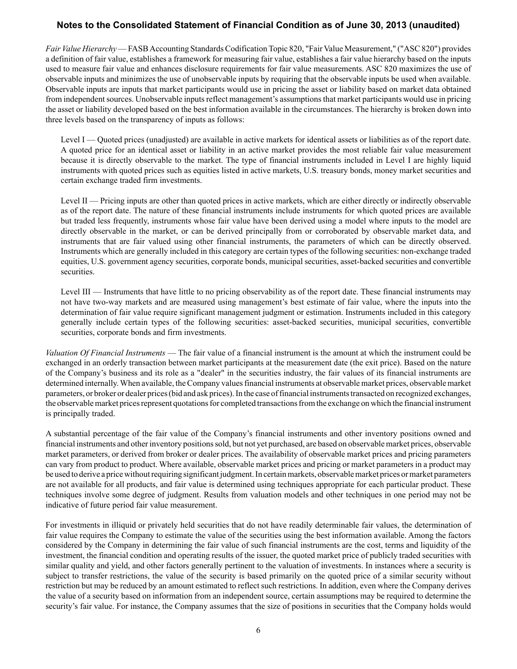*Fair Value Hierarchy* — FASB Accounting Standards Codification Topic 820, "Fair Value Measurement," ("ASC 820") provides a definition of fair value, establishes a framework for measuring fair value, establishes a fair value hierarchy based on the inputs used to measure fair value and enhances disclosure requirements for fair value measurements. ASC 820 maximizes the use of observable inputs and minimizes the use of unobservable inputs by requiring that the observable inputs be used when available. Observable inputs are inputs that market participants would use in pricing the asset or liability based on market data obtained from independent sources. Unobservable inputs reflect management's assumptions that market participants would use in pricing the asset or liability developed based on the best information available in the circumstances. The hierarchy is broken down into three levels based on the transparency of inputs as follows:

Level I — Quoted prices (unadjusted) are available in active markets for identical assets or liabilities as of the report date. A quoted price for an identical asset or liability in an active market provides the most reliable fair value measurement because it is directly observable to the market. The type of financial instruments included in Level I are highly liquid instruments with quoted prices such as equities listed in active markets, U.S. treasury bonds, money market securities and certain exchange traded firm investments.

Level II — Pricing inputs are other than quoted prices in active markets, which are either directly or indirectly observable as of the report date. The nature of these financial instruments include instruments for which quoted prices are available but traded less frequently, instruments whose fair value have been derived using a model where inputs to the model are directly observable in the market, or can be derived principally from or corroborated by observable market data, and instruments that are fair valued using other financial instruments, the parameters of which can be directly observed. Instruments which are generally included in this category are certain types of the following securities: non-exchange traded equities, U.S. government agency securities, corporate bonds, municipal securities, asset-backed securities and convertible securities.

Level III — Instruments that have little to no pricing observability as of the report date. These financial instruments may not have two-way markets and are measured using management's best estimate of fair value, where the inputs into the determination of fair value require significant management judgment or estimation. Instruments included in this category generally include certain types of the following securities: asset-backed securities, municipal securities, convertible securities, corporate bonds and firm investments.

*Valuation Of Financial Instruments* — The fair value of a financial instrument is the amount at which the instrument could be exchanged in an orderly transaction between market participants at the measurement date (the exit price). Based on the nature of the Company's business and its role as a "dealer" in the securities industry, the fair values of its financial instruments are determined internally. When available, the Company values financial instruments at observable market prices, observable market parameters, or broker or dealer prices (bid and ask prices). In the case of financial instruments transacted on recognized exchanges, the observable market prices represent quotations for completed transactions from the exchange on which the financial instrument is principally traded.

A substantial percentage of the fair value of the Company's financial instruments and other inventory positions owned and financial instruments and other inventory positions sold, but not yet purchased, are based on observable market prices, observable market parameters, or derived from broker or dealer prices. The availability of observable market prices and pricing parameters can vary from product to product. Where available, observable market prices and pricing or market parameters in a product may be used to derive a price without requiring significant judgment. In certain markets, observable market prices or market parameters are not available for all products, and fair value is determined using techniques appropriate for each particular product. These techniques involve some degree of judgment. Results from valuation models and other techniques in one period may not be indicative of future period fair value measurement.

For investments in illiquid or privately held securities that do not have readily determinable fair values, the determination of fair value requires the Company to estimate the value of the securities using the best information available. Among the factors considered by the Company in determining the fair value of such financial instruments are the cost, terms and liquidity of the investment, the financial condition and operating results of the issuer, the quoted market price of publicly traded securities with similar quality and yield, and other factors generally pertinent to the valuation of investments. In instances where a security is subject to transfer restrictions, the value of the security is based primarily on the quoted price of a similar security without restriction but may be reduced by an amount estimated to reflect such restrictions. In addition, even where the Company derives the value of a security based on information from an independent source, certain assumptions may be required to determine the security's fair value. For instance, the Company assumes that the size of positions in securities that the Company holds would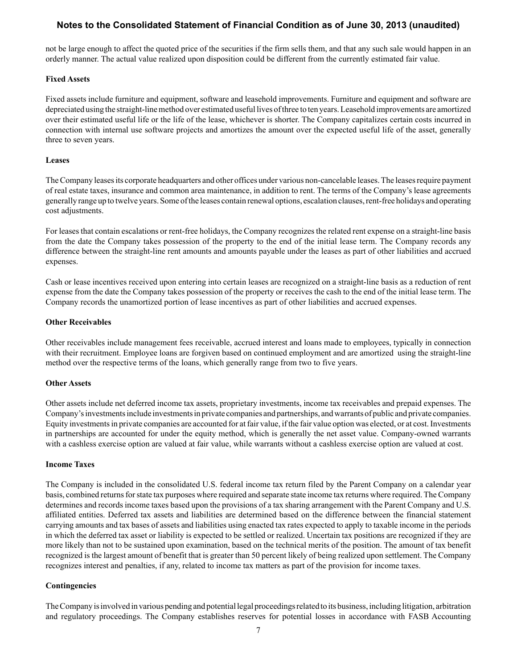not be large enough to affect the quoted price of the securities if the firm sells them, and that any such sale would happen in an orderly manner. The actual value realized upon disposition could be different from the currently estimated fair value.

## **Fixed Assets**

Fixed assets include furniture and equipment, software and leasehold improvements. Furniture and equipment and software are depreciated using the straight-line method over estimated useful lives of three to ten years. Leasehold improvements are amortized over their estimated useful life or the life of the lease, whichever is shorter. The Company capitalizes certain costs incurred in connection with internal use software projects and amortizes the amount over the expected useful life of the asset, generally three to seven years.

## **Leases**

The Company leases its corporate headquarters and other offices under various non-cancelable leases. The leases require payment of real estate taxes, insurance and common area maintenance, in addition to rent. The terms of the Company's lease agreements generally range up to twelve years. Some of the leases contain renewal options, escalation clauses, rent-free holidays and operating cost adjustments.

For leases that contain escalations or rent-free holidays, the Company recognizes the related rent expense on a straight-line basis from the date the Company takes possession of the property to the end of the initial lease term. The Company records any difference between the straight-line rent amounts and amounts payable under the leases as part of other liabilities and accrued expenses.

Cash or lease incentives received upon entering into certain leases are recognized on a straight-line basis as a reduction of rent expense from the date the Company takes possession of the property or receives the cash to the end of the initial lease term. The Company records the unamortized portion of lease incentives as part of other liabilities and accrued expenses.

## **Other Receivables**

Other receivables include management fees receivable, accrued interest and loans made to employees, typically in connection with their recruitment. Employee loans are forgiven based on continued employment and are amortized using the straight-line method over the respective terms of the loans, which generally range from two to five years.

#### **Other Assets**

Other assets include net deferred income tax assets, proprietary investments, income tax receivables and prepaid expenses. The Company's investments include investments in private companies and partnerships, and warrants of public and private companies. Equity investments in private companies are accounted for at fair value, if the fair value option was elected, or at cost. Investments in partnerships are accounted for under the equity method, which is generally the net asset value. Company-owned warrants with a cashless exercise option are valued at fair value, while warrants without a cashless exercise option are valued at cost.

#### **Income Taxes**

The Company is included in the consolidated U.S. federal income tax return filed by the Parent Company on a calendar year basis, combined returns for state tax purposes where required and separate state income tax returns where required. The Company determines and records income taxes based upon the provisions of a tax sharing arrangement with the Parent Company and U.S. affiliated entities. Deferred tax assets and liabilities are determined based on the difference between the financial statement carrying amounts and tax bases of assets and liabilities using enacted tax rates expected to apply to taxable income in the periods in which the deferred tax asset or liability is expected to be settled or realized. Uncertain tax positions are recognized if they are more likely than not to be sustained upon examination, based on the technical merits of the position. The amount of tax benefit recognized is the largest amount of benefit that is greater than 50 percent likely of being realized upon settlement. The Company recognizes interest and penalties, if any, related to income tax matters as part of the provision for income taxes.

## **Contingencies**

The Company is involved in various pending and potential legal proceedings related to its business, including litigation, arbitration and regulatory proceedings. The Company establishes reserves for potential losses in accordance with FASB Accounting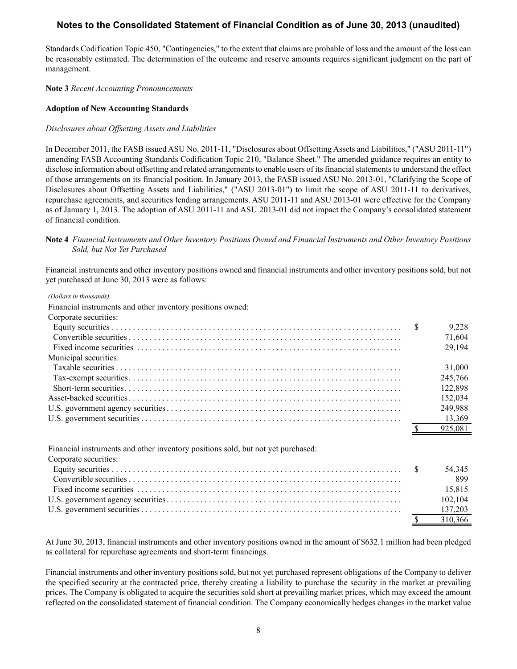Standards Codification Topic 450, "Contingencies," to the extent that claims are probable of loss and the amount of the loss can be reasonably estimated. The determination of the outcome and reserve amounts requires significant judgment on the part of management.

#### **Note 3** *Recent Accounting Pronouncements*

#### **Adoption of New Accounting Standards**

#### *Disclosures about Offsetting Assets and Liabilities*

In December 2011, the FASB issued ASU No. 2011-11, "Disclosures about Offsetting Assets and Liabilities," ("ASU 2011-11") amending FASB Accounting Standards Codification Topic 210, "Balance Sheet." The amended guidance requires an entity to disclose information about offsetting and related arrangements to enable users of its financial statements to understand the effect of those arrangements on its financial position. In January 2013, the FASB issued ASU No. 2013-01, "Clarifying the Scope of Disclosures about Offsetting Assets and Liabilities," ("ASU 2013-01") to limit the scope of ASU 2011-11 to derivatives, repurchase agreements, and securities lending arrangements. ASU 2011-11 and ASU 2013-01 were effective for the Company as of January 1, 2013. The adoption of ASU 2011-11 and ASU 2013-01 did not impact the Company's consolidated statement of financial condition.

#### **Note 4** *Financial Instruments and Other Inventory Positions Owned and Financial Instruments and Other Inventory Positions Sold, but Not Yet Purchased*

Financial instruments and other inventory positions owned and financial instruments and other inventory positions sold, but not yet purchased at June 30, 2013 were as follows:

| (Dollars in thousands)                                     |         |
|------------------------------------------------------------|---------|
| Financial instruments and other inventory positions owned: |         |
| Corporate securities:                                      |         |
|                                                            | 9.228   |
|                                                            | 71,604  |
|                                                            | 29,194  |
| Municipal securities:                                      |         |
|                                                            | 31,000  |
|                                                            | 245,766 |
|                                                            | 122.898 |
|                                                            | 152,034 |
|                                                            | 249,988 |
|                                                            | 13.369  |
|                                                            | 925.081 |

Financial instruments and other inventory positions sold, but not yet purchased:

Corporate securities:

| Corporate securities. |         |
|-----------------------|---------|
|                       | 54.345  |
|                       | 899     |
|                       | 15,815  |
|                       | 102.104 |
|                       |         |
|                       | 310.366 |

At June 30, 2013, financial instruments and other inventory positions owned in the amount of \$632.1 million had been pledged as collateral for repurchase agreements and short-term financings.

Financial instruments and other inventory positions sold, but not yet purchased represent obligations of the Company to deliver the specified security at the contracted price, thereby creating a liability to purchase the security in the market at prevailing prices. The Company is obligated to acquire the securities sold short at prevailing market prices, which may exceed the amount reflected on the consolidated statement of financial condition. The Company economically hedges changes in the market value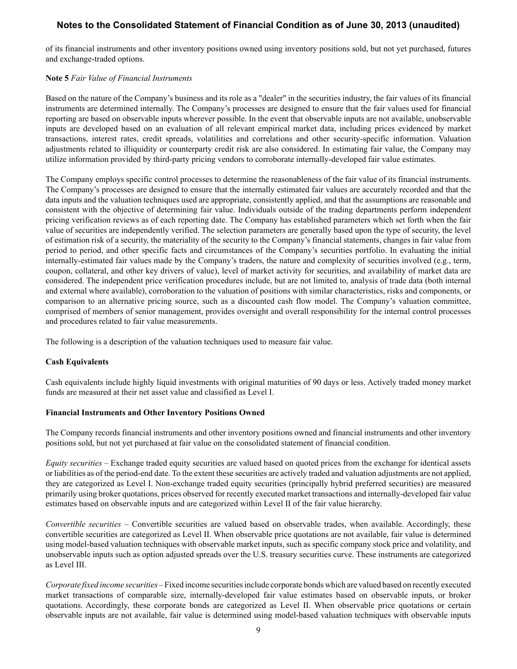of its financial instruments and other inventory positions owned using inventory positions sold, but not yet purchased, futures and exchange-traded options.

#### **Note 5** *Fair Value of Financial Instruments*

Based on the nature of the Company's business and its role as a "dealer" in the securities industry, the fair values of its financial instruments are determined internally. The Company's processes are designed to ensure that the fair values used for financial reporting are based on observable inputs wherever possible. In the event that observable inputs are not available, unobservable inputs are developed based on an evaluation of all relevant empirical market data, including prices evidenced by market transactions, interest rates, credit spreads, volatilities and correlations and other security-specific information. Valuation adjustments related to illiquidity or counterparty credit risk are also considered. In estimating fair value, the Company may utilize information provided by third-party pricing vendors to corroborate internally-developed fair value estimates.

The Company employs specific control processes to determine the reasonableness of the fair value of its financial instruments. The Company's processes are designed to ensure that the internally estimated fair values are accurately recorded and that the data inputs and the valuation techniques used are appropriate, consistently applied, and that the assumptions are reasonable and consistent with the objective of determining fair value. Individuals outside of the trading departments perform independent pricing verification reviews as of each reporting date. The Company has established parameters which set forth when the fair value of securities are independently verified. The selection parameters are generally based upon the type of security, the level of estimation risk of a security, the materiality of the security to the Company's financial statements, changes in fair value from period to period, and other specific facts and circumstances of the Company's securities portfolio. In evaluating the initial internally-estimated fair values made by the Company's traders, the nature and complexity of securities involved (e.g., term, coupon, collateral, and other key drivers of value), level of market activity for securities, and availability of market data are considered. The independent price verification procedures include, but are not limited to, analysis of trade data (both internal and external where available), corroboration to the valuation of positions with similar characteristics, risks and components, or comparison to an alternative pricing source, such as a discounted cash flow model. The Company's valuation committee, comprised of members of senior management, provides oversight and overall responsibility for the internal control processes and procedures related to fair value measurements.

The following is a description of the valuation techniques used to measure fair value.

#### **Cash Equivalents**

Cash equivalents include highly liquid investments with original maturities of 90 days or less. Actively traded money market funds are measured at their net asset value and classified as Level I.

#### **Financial Instruments and Other Inventory Positions Owned**

The Company records financial instruments and other inventory positions owned and financial instruments and other inventory positions sold, but not yet purchased at fair value on the consolidated statement of financial condition.

*Equity securities –* Exchange traded equity securities are valued based on quoted prices from the exchange for identical assets or liabilities as of the period-end date. To the extent these securities are actively traded and valuation adjustments are not applied, they are categorized as Level I. Non-exchange traded equity securities (principally hybrid preferred securities) are measured primarily using broker quotations, prices observed for recently executed market transactions and internally-developed fair value estimates based on observable inputs and are categorized within Level II of the fair value hierarchy.

*Convertible securities –* Convertible securities are valued based on observable trades, when available. Accordingly, these convertible securities are categorized as Level II. When observable price quotations are not available, fair value is determined using model-based valuation techniques with observable market inputs, such as specific company stock price and volatility, and unobservable inputs such as option adjusted spreads over the U.S. treasury securities curve. These instruments are categorized as Level III.

*Corporate fixed income securities –*Fixed income securities include corporate bonds which are valued based on recently executed market transactions of comparable size, internally-developed fair value estimates based on observable inputs, or broker quotations. Accordingly, these corporate bonds are categorized as Level II. When observable price quotations or certain observable inputs are not available, fair value is determined using model-based valuation techniques with observable inputs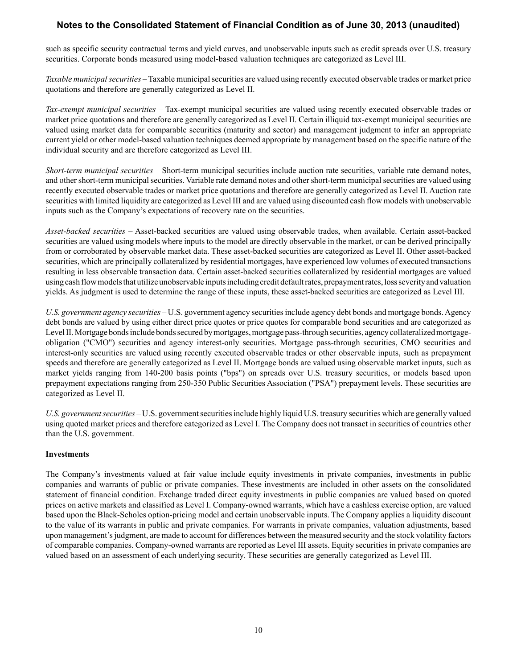such as specific security contractual terms and yield curves, and unobservable inputs such as credit spreads over U.S. treasury securities. Corporate bonds measured using model-based valuation techniques are categorized as Level III.

*Taxable municipal securities –* Taxable municipal securities are valued using recently executed observable trades or market price quotations and therefore are generally categorized as Level II.

*Tax-exempt municipal securities –* Tax-exempt municipal securities are valued using recently executed observable trades or market price quotations and therefore are generally categorized as Level II. Certain illiquid tax-exempt municipal securities are valued using market data for comparable securities (maturity and sector) and management judgment to infer an appropriate current yield or other model-based valuation techniques deemed appropriate by management based on the specific nature of the individual security and are therefore categorized as Level III.

*Short-term municipal securities –* Short-term municipal securities include auction rate securities, variable rate demand notes, and other short-term municipal securities. Variable rate demand notes and other short-term municipal securities are valued using recently executed observable trades or market price quotations and therefore are generally categorized as Level II. Auction rate securities with limited liquidity are categorized as Level III and are valued using discounted cash flow models with unobservable inputs such as the Company's expectations of recovery rate on the securities.

*Asset-backed securities –* Asset-backed securities are valued using observable trades, when available. Certain asset-backed securities are valued using models where inputs to the model are directly observable in the market, or can be derived principally from or corroborated by observable market data. These asset-backed securities are categorized as Level II. Other asset-backed securities, which are principally collateralized by residential mortgages, have experienced low volumes of executed transactions resulting in less observable transaction data. Certain asset-backed securities collateralized by residential mortgages are valued using cash flow models that utilize unobservable inputs including credit default rates, prepayment rates, loss severity and valuation yields. As judgment is used to determine the range of these inputs, these asset-backed securities are categorized as Level III.

*U.S. government agency securities –* U.S. government agency securities include agency debt bonds and mortgage bonds. Agency debt bonds are valued by using either direct price quotes or price quotes for comparable bond securities and are categorized as Level II. Mortgage bonds include bonds secured by mortgages, mortgage pass-through securities, agency collateralized mortgageobligation ("CMO") securities and agency interest-only securities. Mortgage pass-through securities, CMO securities and interest-only securities are valued using recently executed observable trades or other observable inputs, such as prepayment speeds and therefore are generally categorized as Level II. Mortgage bonds are valued using observable market inputs, such as market yields ranging from 140-200 basis points ("bps") on spreads over U.S. treasury securities, or models based upon prepayment expectations ranging from 250-350 Public Securities Association ("PSA") prepayment levels. These securities are categorized as Level II.

*U.S. government securities –* U.S. government securities include highly liquid U.S. treasury securities which are generally valued using quoted market prices and therefore categorized as Level I. The Company does not transact in securities of countries other than the U.S. government.

#### **Investments**

The Company's investments valued at fair value include equity investments in private companies, investments in public companies and warrants of public or private companies. These investments are included in other assets on the consolidated statement of financial condition. Exchange traded direct equity investments in public companies are valued based on quoted prices on active markets and classified as Level I. Company-owned warrants, which have a cashless exercise option, are valued based upon the Black-Scholes option-pricing model and certain unobservable inputs. The Company applies a liquidity discount to the value of its warrants in public and private companies. For warrants in private companies, valuation adjustments, based upon management's judgment, are made to account for differences between the measured security and the stock volatility factors of comparable companies. Company-owned warrants are reported as Level III assets. Equity securities in private companies are valued based on an assessment of each underlying security. These securities are generally categorized as Level III.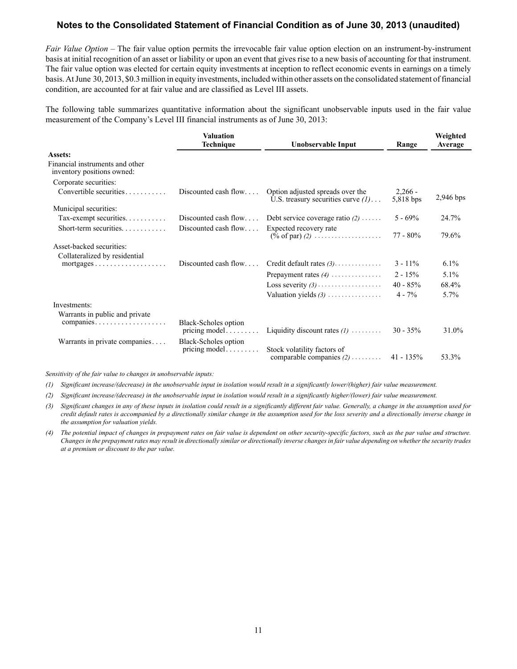*Fair Value Option –* The fair value option permits the irrevocable fair value option election on an instrument-by-instrument basis at initial recognition of an asset or liability or upon an event that gives rise to a new basis of accounting for that instrument. The fair value option was elected for certain equity investments at inception to reflect economic events in earnings on a timely basis. At June 30, 2013, \$0.3 million in equity investments, included within other assets on the consolidated statement of financial condition, are accounted for at fair value and are classified as Level III assets.

The following table summarizes quantitative information about the significant unobservable inputs used in the fair value measurement of the Company's Level III financial instruments as of June 30, 2013:

| Valuation<br>Technique<br>Unobservable Input                  |                                       | Range                                                                                   | Weighted<br>Average    |           |
|---------------------------------------------------------------|---------------------------------------|-----------------------------------------------------------------------------------------|------------------------|-----------|
| Assets:                                                       |                                       |                                                                                         |                        |           |
| Financial instruments and other<br>inventory positions owned: |                                       |                                                                                         |                        |           |
| Corporate securities:                                         |                                       |                                                                                         |                        |           |
| Convertible securities                                        | Discounted cash flow                  | Option adjusted spreads over the<br>U.S. treasury securities curve $(l)$                | $2,266 -$<br>5,818 bps | 2,946 bps |
| Municipal securities:                                         |                                       |                                                                                         |                        |           |
| Tax-exempt securities.                                        | Discounted cash flow                  | Debt service coverage ratio $(2)$                                                       | $5 - 69\%$             | 24.7%     |
|                                                               | Discounted cash flow                  | Expected recovery rate<br>$(\% \text{ of par}) (2) \dots \dots \dots \dots \dots \dots$ | $77 - 80\%$            | 79.6%     |
| Asset-backed securities:                                      |                                       |                                                                                         |                        |           |
| Collateralized by residential                                 |                                       |                                                                                         |                        |           |
| $mortgages \ldots \ldots \ldots \ldots \ldots$                | Discounted cash flow                  | Credit default rates $(3)$                                                              | $3 - 11\%$             | 6.1%      |
|                                                               |                                       | Prepayment rates $(4)$                                                                  | $2 - 15\%$             | 5.1%      |
|                                                               |                                       |                                                                                         | $40 - 85%$             | 68.4%     |
|                                                               |                                       | Valuation yields $(3)$                                                                  | $4 - 7\%$              | 5.7%      |
| Investments:                                                  |                                       |                                                                                         |                        |           |
| Warrants in public and private                                |                                       |                                                                                         |                        |           |
| companies                                                     | Black-Scholes option<br>pricing model | Liquidity discount rates $(l)$                                                          | $30 - 35\%$            | 31.0%     |
| Warrants in private companies                                 | Black-Scholes option                  |                                                                                         |                        |           |
|                                                               | pricing model                         | Stock volatility factors of<br>comparable companies $(2)$                               | $41 - 135\%$           | 53.3%     |

*Sensitivity of the fair value to changes in unobservable inputs:*

*(1) Significant increase/(decrease) in the unobservable input in isolation would result in a significantly lower/(higher) fair value measurement.*

*(2) Significant increase/(decrease) in the unobservable input in isolation would result in a significantly higher/(lower) fair value measurement.*

- *(3) Significant changes in any of these inputs in isolation could result in a significantly different fair value. Generally, a change in the assumption used for*  credit default rates is accompanied by a directionally similar change in the assumption used for the loss severity and a directionally inverse change in *the assumption for valuation yields.*
- *(4) The potential impact of changes in prepayment rates on fair value is dependent on other security-specific factors, such as the par value and structure. Changes in the prepayment rates may result in directionally similar or directionally inverse changes in fair value depending on whether the security trades at a premium or discount to the par value.*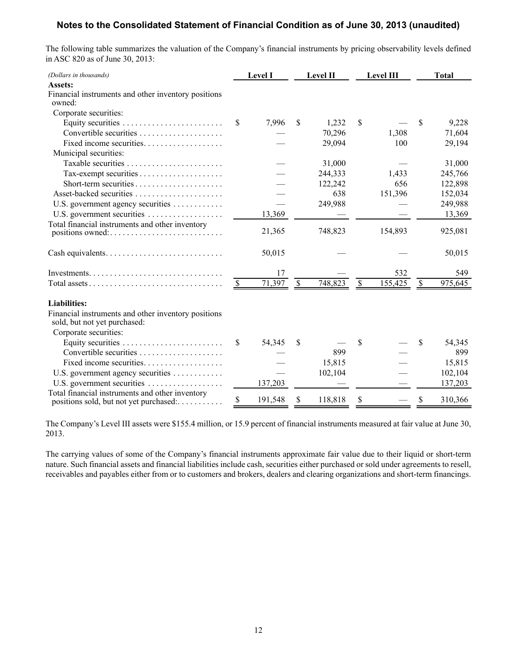The following table summarizes the valuation of the Company's financial instruments by pricing observability levels defined in ASC 820 as of June 30, 2013:

| (Dollars in thousands)                                                                    |               | <b>Level I</b> | <b>Level II</b> |              | <b>Level III</b> |                           | <b>Total</b> |
|-------------------------------------------------------------------------------------------|---------------|----------------|-----------------|--------------|------------------|---------------------------|--------------|
| Assets:                                                                                   |               |                |                 |              |                  |                           |              |
| Financial instruments and other inventory positions<br>owned:                             |               |                |                 |              |                  |                           |              |
| Corporate securities:                                                                     |               |                |                 |              |                  |                           |              |
| Equity securities                                                                         | <sup>\$</sup> | 7,996          | \$<br>1,232     | \$           |                  | \$                        | 9,228        |
|                                                                                           |               |                | 70,296          |              | 1,308            |                           | 71,604       |
| Fixed income securities                                                                   |               |                | 29,094          |              | 100              |                           | 29,194       |
| Municipal securities:                                                                     |               |                |                 |              |                  |                           |              |
| Taxable securities                                                                        |               |                | 31,000          |              |                  |                           | 31,000       |
|                                                                                           |               |                | 244,333         |              | 1,433            |                           | 245,766      |
|                                                                                           |               |                | 122,242         |              | 656              |                           | 122,898      |
| Asset-backed securities                                                                   |               |                | 638             |              | 151,396          |                           | 152,034      |
| U.S. government agency securities                                                         |               |                | 249,988         |              |                  |                           | 249,988      |
|                                                                                           |               | 13,369         |                 |              |                  |                           | 13,369       |
| Total financial instruments and other inventory                                           |               | 21,365         | 748,823         |              | 154,893          |                           | 925,081      |
|                                                                                           |               | 50,015         |                 |              |                  |                           | 50,015       |
|                                                                                           |               | 17             |                 |              | 532              |                           | 549          |
|                                                                                           |               | 71,397         | \$<br>748,823   | $\mathbb{S}$ | 155,425          | $\boldsymbol{\mathsf{S}}$ | 975,645      |
| <b>Liabilities:</b>                                                                       |               |                |                 |              |                  |                           |              |
| Financial instruments and other inventory positions<br>sold, but not yet purchased:       |               |                |                 |              |                  |                           |              |
| Corporate securities:                                                                     |               |                |                 |              |                  |                           |              |
|                                                                                           | \$            | 54,345         | \$              | \$           |                  | \$                        | 54,345       |
| Convertible securities                                                                    |               |                | 899             |              |                  |                           | 899          |
| Fixed income securities                                                                   |               |                | 15,815          |              |                  |                           | 15,815       |
| U.S. government agency securities                                                         |               |                | 102,104         |              |                  |                           | 102,104      |
| U.S. government securities                                                                |               | 137,203        |                 |              |                  |                           | 137,203      |
| Total financial instruments and other inventory<br>positions sold, but not yet purchased: |               | 191,548        | 118,818         | \$           |                  | \$                        | 310,366      |

The Company's Level III assets were \$155.4 million, or 15.9 percent of financial instruments measured at fair value at June 30, 2013.

The carrying values of some of the Company's financial instruments approximate fair value due to their liquid or short-term nature. Such financial assets and financial liabilities include cash, securities either purchased or sold under agreements to resell, receivables and payables either from or to customers and brokers, dealers and clearing organizations and short-term financings.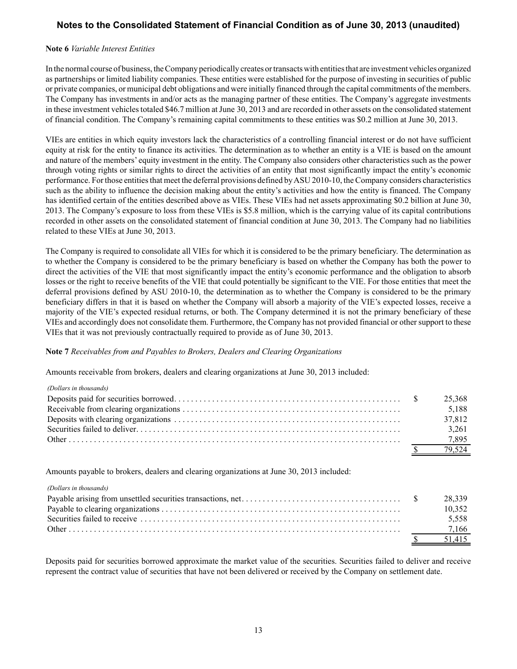#### **Note 6** *Variable Interest Entities*

In the normal course of business, the Company periodically creates or transacts with entities that are investment vehicles organized as partnerships or limited liability companies. These entities were established for the purpose of investing in securities of public or private companies, or municipal debt obligations and were initially financed through the capital commitments of the members. The Company has investments in and/or acts as the managing partner of these entities. The Company's aggregate investments in these investment vehicles totaled \$46.7 million at June 30, 2013 and are recorded in other assets on the consolidated statement of financial condition. The Company's remaining capital commitments to these entities was \$0.2 million at June 30, 2013.

VIEs are entities in which equity investors lack the characteristics of a controlling financial interest or do not have sufficient equity at risk for the entity to finance its activities. The determination as to whether an entity is a VIE is based on the amount and nature of the members' equity investment in the entity. The Company also considers other characteristics such as the power through voting rights or similar rights to direct the activities of an entity that most significantly impact the entity's economic performance. For those entities that meet the deferral provisions defined by ASU 2010-10, the Company considers characteristics such as the ability to influence the decision making about the entity's activities and how the entity is financed. The Company has identified certain of the entities described above as VIEs. These VIEs had net assets approximating \$0.2 billion at June 30, 2013. The Company's exposure to loss from these VIEs is \$5.8 million, which is the carrying value of its capital contributions recorded in other assets on the consolidated statement of financial condition at June 30, 2013. The Company had no liabilities related to these VIEs at June 30, 2013.

The Company is required to consolidate all VIEs for which it is considered to be the primary beneficiary. The determination as to whether the Company is considered to be the primary beneficiary is based on whether the Company has both the power to direct the activities of the VIE that most significantly impact the entity's economic performance and the obligation to absorb losses or the right to receive benefits of the VIE that could potentially be significant to the VIE. For those entities that meet the deferral provisions defined by ASU 2010-10, the determination as to whether the Company is considered to be the primary beneficiary differs in that it is based on whether the Company will absorb a majority of the VIE's expected losses, receive a majority of the VIE's expected residual returns, or both. The Company determined it is not the primary beneficiary of these VIEs and accordingly does not consolidate them. Furthermore, the Company has not provided financial or other support to these VIEs that it was not previously contractually required to provide as of June 30, 2013.

#### **Note 7** *Receivables from and Payables to Brokers, Dealers and Clearing Organizations*

Amounts receivable from brokers, dealers and clearing organizations at June 30, 2013 included:

| (Dollars in thousands) |        |
|------------------------|--------|
|                        | 25,368 |
|                        | 5,188  |
|                        | 37,812 |
|                        | 3,261  |
|                        | 7,895  |
|                        | 79,524 |
|                        |        |

Amounts payable to brokers, dealers and clearing organizations at June 30, 2013 included:

#### *(Dollars in thousands)*

|  | 10 352 |
|--|--------|
|  | 5.558  |
|  |        |
|  | 51.415 |

Deposits paid for securities borrowed approximate the market value of the securities. Securities failed to deliver and receive represent the contract value of securities that have not been delivered or received by the Company on settlement date.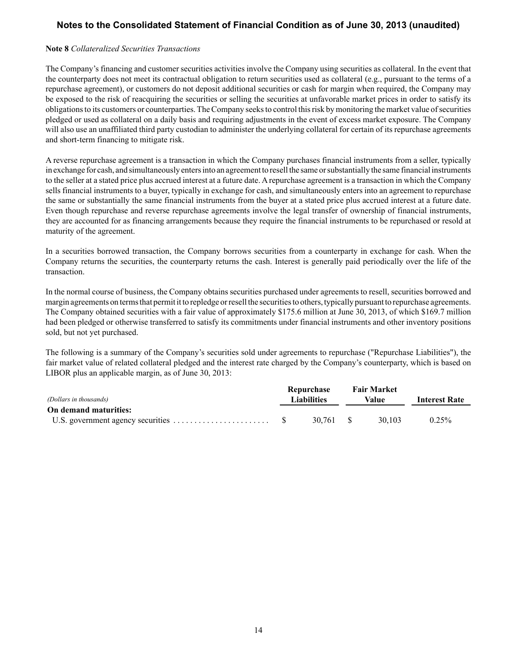#### **Note 8** *Collateralized Securities Transactions*

The Company's financing and customer securities activities involve the Company using securities as collateral. In the event that the counterparty does not meet its contractual obligation to return securities used as collateral (e.g., pursuant to the terms of a repurchase agreement), or customers do not deposit additional securities or cash for margin when required, the Company may be exposed to the risk of reacquiring the securities or selling the securities at unfavorable market prices in order to satisfy its obligations to its customers or counterparties. The Company seeks to control this risk by monitoring the market value of securities pledged or used as collateral on a daily basis and requiring adjustments in the event of excess market exposure. The Company will also use an unaffiliated third party custodian to administer the underlying collateral for certain of its repurchase agreements and short-term financing to mitigate risk.

A reverse repurchase agreement is a transaction in which the Company purchases financial instruments from a seller, typically in exchange for cash, and simultaneously enters into an agreement to resell the same or substantially the same financial instruments to the seller at a stated price plus accrued interest at a future date. A repurchase agreement is a transaction in which the Company sells financial instruments to a buyer, typically in exchange for cash, and simultaneously enters into an agreement to repurchase the same or substantially the same financial instruments from the buyer at a stated price plus accrued interest at a future date. Even though repurchase and reverse repurchase agreements involve the legal transfer of ownership of financial instruments, they are accounted for as financing arrangements because they require the financial instruments to be repurchased or resold at maturity of the agreement.

In a securities borrowed transaction, the Company borrows securities from a counterparty in exchange for cash. When the Company returns the securities, the counterparty returns the cash. Interest is generally paid periodically over the life of the transaction.

In the normal course of business, the Company obtains securities purchased under agreements to resell, securities borrowed and margin agreements on terms that permit it to repledge or resell the securities to others, typically pursuant to repurchase agreements. The Company obtained securities with a fair value of approximately \$175.6 million at June 30, 2013, of which \$169.7 million had been pledged or otherwise transferred to satisfy its commitments under financial instruments and other inventory positions sold, but not yet purchased.

The following is a summary of the Company's securities sold under agreements to repurchase ("Repurchase Liabilities"), the fair market value of related collateral pledged and the interest rate charged by the Company's counterparty, which is based on LIBOR plus an applicable margin, as of June 30, 2013:

|                        |                    | Repurchase |       | <b>Fair Market</b> |                      |
|------------------------|--------------------|------------|-------|--------------------|----------------------|
| (Dollars in thousands) | <b>Liabilities</b> |            | Value |                    | <b>Interest Rate</b> |
| On demand maturities:  |                    |            |       |                    |                      |
|                        |                    | 30.761 \$  |       | 30.103             | $0.25\%$             |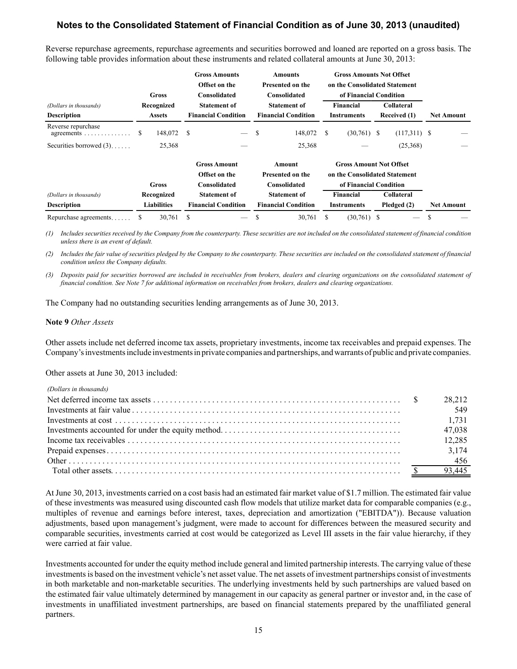Reverse repurchase agreements, repurchase agreements and securities borrowed and loaned are reported on a gross basis. The following table provides information about these instruments and related collateral amounts at June 30, 2013:

|                                                                |   | Gross                            |               | <b>Gross Amounts</b><br>Offset on the<br>Consolidated |   | <b>Amounts</b><br><b>Presented on the</b><br>Consolidated |    | <b>Gross Amounts Not Offset</b><br>on the Consolidated Statement<br>of Financial Condition |                                  |                   |
|----------------------------------------------------------------|---|----------------------------------|---------------|-------------------------------------------------------|---|-----------------------------------------------------------|----|--------------------------------------------------------------------------------------------|----------------------------------|-------------------|
| (Dollars in thousands)                                         |   | Recognized                       |               | <b>Statement of</b>                                   |   | <b>Statement of</b>                                       |    | Financial                                                                                  | <b>Collateral</b>                |                   |
| <b>Description</b>                                             |   | <b>Assets</b>                    |               | <b>Financial Condition</b>                            |   | <b>Financial Condition</b>                                |    | <b>Instruments</b>                                                                         | Received (1)                     | <b>Net Amount</b> |
| Reverse repurchase<br>agreements $\ldots \ldots \ldots \ldots$ | S | 148,072                          | <sup>\$</sup> |                                                       | S | 148,072                                                   | \$ | $(30,761)$ \$                                                                              | $(117,311)$ \$                   |                   |
| Securities borrowed $(3)$                                      |   | 25,368                           |               |                                                       |   | 25,368                                                    |    |                                                                                            | (25,368)                         |                   |
|                                                                |   | Gross                            |               | <b>Gross Amount</b><br>Offset on the<br>Consolidated  |   | Amount<br>Presented on the<br>Consolidated                |    | <b>Gross Amount Not Offset</b><br>on the Consolidated Statement<br>of Financial Condition  |                                  |                   |
|                                                                |   |                                  |               |                                                       |   |                                                           |    |                                                                                            |                                  |                   |
| (Dollars in thousands)<br><b>Description</b>                   |   | Recognized<br><b>Liabilities</b> |               | <b>Statement of</b><br><b>Financial Condition</b>     |   | <b>Statement of</b><br><b>Financial Condition</b>         |    | <b>Financial</b><br><b>Instruments</b>                                                     | <b>Collateral</b><br>Pledged (2) | <b>Net Amount</b> |
| Repurchase agreements                                          | S | 30,761                           | S             |                                                       |   | 30,761                                                    | S  | $(30,761)$ \$                                                                              |                                  |                   |

*(1) Includes securities received by the Company from the counterparty. These securities are not included on the consolidated statement of financial condition unless there is an event of default.*

*(2) Includes the fair value of securities pledged by the Company to the counterparty. These securities are included on the consolidated statement of financial condition unless the Company defaults.*

*(3) Deposits paid for securities borrowed are included in receivables from brokers, dealers and clearing organizations on the consolidated statement of financial condition. See Note 7 for additional information on receivables from brokers, dealers and clearing organizations.*

The Company had no outstanding securities lending arrangements as of June 30, 2013.

#### **Note 9** *Other Assets*

Other assets include net deferred income tax assets, proprietary investments, income tax receivables and prepaid expenses. The Company's investments include investments in private companies and partnerships, and warrants of public and private companies.

Other assets at June 30, 2013 included:

| (Dollars in thousands) |        |
|------------------------|--------|
|                        | 28.212 |
|                        | 549    |
|                        | 1.731  |
|                        | 47,038 |
|                        | 12,285 |
|                        | 3,174  |
|                        | 456    |
|                        |        |

At June 30, 2013, investments carried on a cost basis had an estimated fair market value of \$1.7 million. The estimated fair value of these investments was measured using discounted cash flow models that utilize market data for comparable companies (e.g., multiples of revenue and earnings before interest, taxes, depreciation and amortization ("EBITDA")). Because valuation adjustments, based upon management's judgment, were made to account for differences between the measured security and comparable securities, investments carried at cost would be categorized as Level III assets in the fair value hierarchy, if they were carried at fair value.

Investments accounted for under the equity method include general and limited partnership interests. The carrying value of these investments is based on the investment vehicle's net asset value. The net assets of investment partnerships consist of investments in both marketable and non-marketable securities. The underlying investments held by such partnerships are valued based on the estimated fair value ultimately determined by management in our capacity as general partner or investor and, in the case of investments in unaffiliated investment partnerships, are based on financial statements prepared by the unaffiliated general partners.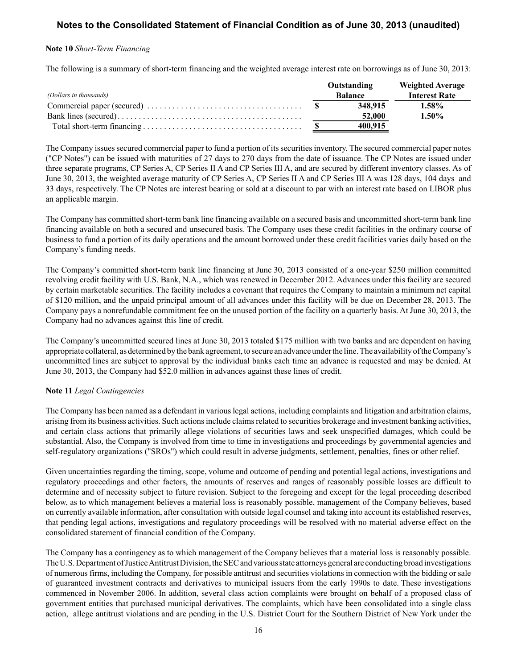#### **Note 10** *Short-Term Financing*

The following is a summary of short-term financing and the weighted average interest rate on borrowings as of June 30, 2013:

|                        | Outstanding    | <b>Weighted Average</b> |
|------------------------|----------------|-------------------------|
| (Dollars in thousands) | <b>Balance</b> | <b>Interest Rate</b>    |
|                        | 348.915        | 1.58%                   |
|                        | 52,000         | $1.50\%$                |
|                        | 400.915        |                         |

The Company issues secured commercial paper to fund a portion of its securities inventory. The secured commercial paper notes ("CP Notes") can be issued with maturities of 27 days to 270 days from the date of issuance. The CP Notes are issued under three separate programs, CP Series A, CP Series II A and CP Series III A, and are secured by different inventory classes. As of June 30, 2013, the weighted average maturity of CP Series A, CP Series II A and CP Series III A was 128 days, 104 days and 33 days, respectively. The CP Notes are interest bearing or sold at a discount to par with an interest rate based on LIBOR plus an applicable margin.

The Company has committed short-term bank line financing available on a secured basis and uncommitted short-term bank line financing available on both a secured and unsecured basis. The Company uses these credit facilities in the ordinary course of business to fund a portion of its daily operations and the amount borrowed under these credit facilities varies daily based on the Company's funding needs.

The Company's committed short-term bank line financing at June 30, 2013 consisted of a one-year \$250 million committed revolving credit facility with U.S. Bank, N.A., which was renewed in December 2012. Advances under this facility are secured by certain marketable securities. The facility includes a covenant that requires the Company to maintain a minimum net capital of \$120 million, and the unpaid principal amount of all advances under this facility will be due on December 28, 2013. The Company pays a nonrefundable commitment fee on the unused portion of the facility on a quarterly basis. At June 30, 2013, the Company had no advances against this line of credit.

The Company's uncommitted secured lines at June 30, 2013 totaled \$175 million with two banks and are dependent on having appropriate collateral, as determined by the bank agreement, to secure an advance under the line. The availability of the Company's uncommitted lines are subject to approval by the individual banks each time an advance is requested and may be denied. At June 30, 2013, the Company had \$52.0 million in advances against these lines of credit.

#### **Note 11** *Legal Contingencies*

The Company has been named as a defendant in various legal actions, including complaints and litigation and arbitration claims, arising from its business activities. Such actions include claims related to securities brokerage and investment banking activities, and certain class actions that primarily allege violations of securities laws and seek unspecified damages, which could be substantial. Also, the Company is involved from time to time in investigations and proceedings by governmental agencies and self-regulatory organizations ("SROs") which could result in adverse judgments, settlement, penalties, fines or other relief.

Given uncertainties regarding the timing, scope, volume and outcome of pending and potential legal actions, investigations and regulatory proceedings and other factors, the amounts of reserves and ranges of reasonably possible losses are difficult to determine and of necessity subject to future revision. Subject to the foregoing and except for the legal proceeding described below, as to which management believes a material loss is reasonably possible, management of the Company believes, based on currently available information, after consultation with outside legal counsel and taking into account its established reserves, that pending legal actions, investigations and regulatory proceedings will be resolved with no material adverse effect on the consolidated statement of financial condition of the Company.

The Company has a contingency as to which management of the Company believes that a material loss is reasonably possible. The U.S. Department of Justice Antitrust Division, the SEC and various state attorneys general are conducting broad investigations of numerous firms, including the Company, for possible antitrust and securities violations in connection with the bidding or sale of guaranteed investment contracts and derivatives to municipal issuers from the early 1990s to date. These investigations commenced in November 2006. In addition, several class action complaints were brought on behalf of a proposed class of government entities that purchased municipal derivatives. The complaints, which have been consolidated into a single class action, allege antitrust violations and are pending in the U.S. District Court for the Southern District of New York under the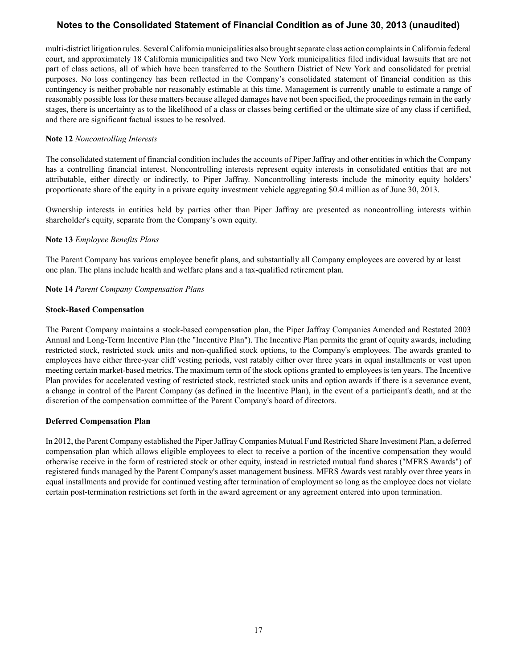multi-district litigation rules. Several California municipalities also brought separate class action complaints in California federal court, and approximately 18 California municipalities and two New York municipalities filed individual lawsuits that are not part of class actions, all of which have been transferred to the Southern District of New York and consolidated for pretrial purposes. No loss contingency has been reflected in the Company's consolidated statement of financial condition as this contingency is neither probable nor reasonably estimable at this time. Management is currently unable to estimate a range of reasonably possible loss for these matters because alleged damages have not been specified, the proceedings remain in the early stages, there is uncertainty as to the likelihood of a class or classes being certified or the ultimate size of any class if certified, and there are significant factual issues to be resolved.

## **Note 12** *Noncontrolling Interests*

The consolidated statement of financial condition includes the accounts of Piper Jaffray and other entities in which the Company has a controlling financial interest. Noncontrolling interests represent equity interests in consolidated entities that are not attributable, either directly or indirectly, to Piper Jaffray. Noncontrolling interests include the minority equity holders' proportionate share of the equity in a private equity investment vehicle aggregating \$0.4 million as of June 30, 2013.

Ownership interests in entities held by parties other than Piper Jaffray are presented as noncontrolling interests within shareholder's equity, separate from the Company's own equity.

## **Note 13** *Employee Benefits Plans*

The Parent Company has various employee benefit plans, and substantially all Company employees are covered by at least one plan. The plans include health and welfare plans and a tax-qualified retirement plan.

## **Note 14** *Parent Company Compensation Plans*

#### **Stock-Based Compensation**

The Parent Company maintains a stock-based compensation plan, the Piper Jaffray Companies Amended and Restated 2003 Annual and Long-Term Incentive Plan (the "Incentive Plan"). The Incentive Plan permits the grant of equity awards, including restricted stock, restricted stock units and non-qualified stock options, to the Company's employees. The awards granted to employees have either three-year cliff vesting periods, vest ratably either over three years in equal installments or vest upon meeting certain market-based metrics. The maximum term of the stock options granted to employees is ten years. The Incentive Plan provides for accelerated vesting of restricted stock, restricted stock units and option awards if there is a severance event, a change in control of the Parent Company (as defined in the Incentive Plan), in the event of a participant's death, and at the discretion of the compensation committee of the Parent Company's board of directors.

#### **Deferred Compensation Plan**

In 2012, the Parent Company established the Piper Jaffray Companies Mutual Fund Restricted Share Investment Plan, a deferred compensation plan which allows eligible employees to elect to receive a portion of the incentive compensation they would otherwise receive in the form of restricted stock or other equity, instead in restricted mutual fund shares ("MFRS Awards") of registered funds managed by the Parent Company's asset management business. MFRS Awards vest ratably over three years in equal installments and provide for continued vesting after termination of employment so long as the employee does not violate certain post-termination restrictions set forth in the award agreement or any agreement entered into upon termination.